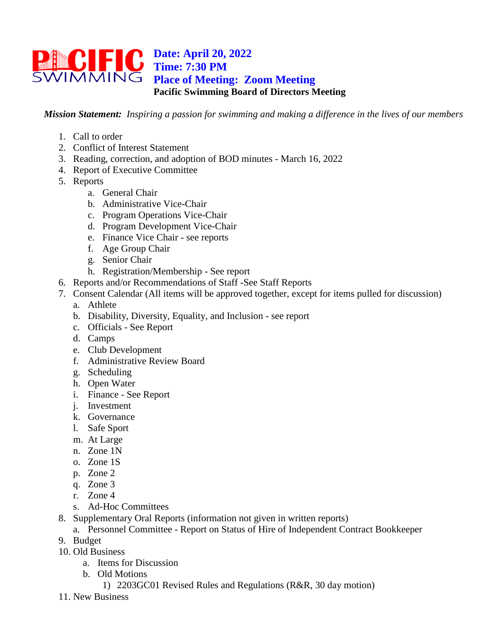## **Date: April 20, 2022 Time: 7:30 PM Place of Meeting: Zoom Meeting Pacific Swimming Board of Directors Meeting**

*Mission Statement: Inspiring a passion for swimming and making a difference in the lives of our members*

- 1. Call to order
- 2. Conflict of Interest Statement
- 3. Reading, correction, and adoption of BOD minutes March 16, 2022
- 4. Report of Executive Committee
- 5. Reports
	- a. General Chair
	- b. Administrative Vice-Chair
	- c. Program Operations Vice-Chair
	- d. Program Development Vice-Chair
	- e. Finance Vice Chair see reports
	- f. Age Group Chair
	- g. Senior Chair
	- h. Registration/Membership See report
- 6. Reports and/or Recommendations of Staff -See Staff Reports
- 7. Consent Calendar (All items will be approved together, except for items pulled for discussion) a. Athlete
	- b. Disability, Diversity, Equality, and Inclusion see report
	- c. Officials See Report
	- d. Camps
	- e. Club Development
	- f. Administrative Review Board
	- g. Scheduling
	- h. Open Water
	- i. Finance See Report
	- j. Investment
	- k. Governance
	- l. Safe Sport
	- m. At Large
	- n. Zone 1N
	- o. Zone 1S
	- p. Zone 2
	- q. Zone 3
	- r. Zone 4
	- s. Ad-Hoc Committees
- 8. Supplementary Oral Reports (information not given in written reports)
	- a. Personnel Committee Report on Status of Hire of Independent Contract Bookkeeper
- 9. Budget
- 10. Old Business
	- a. Items for Discussion
	- b. Old Motions
		- 1) 2203GC01 Revised Rules and Regulations (R&R, 30 day motion)
- 11. New Business